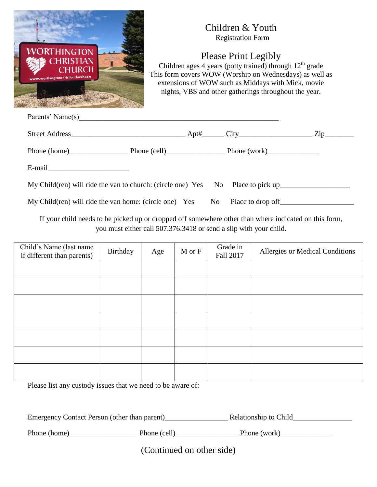

## Children & Youth Registration Form

Please Print Legibly

Children ages 4 years (potty trained) through  $12<sup>th</sup>$  grade This form covers WOW (Worship on Wednesdays) as well as extensions of WOW such as Middays with Mick, movie nights, VBS and other gatherings throughout the year.

| Parents' Name(s)                                                                |  |  |
|---------------------------------------------------------------------------------|--|--|
|                                                                                 |  |  |
|                                                                                 |  |  |
|                                                                                 |  |  |
| My Child(ren) will ride the van to church: (circle one) Yes No Place to pick up |  |  |
| $My Children$ ) will ride the van home: (circle one) Yes No                     |  |  |

If your child needs to be picked up or dropped off somewhere other than where indicated on this form, you must either call 507.376.3418 or send a slip with your child.

| Child's Name (last name<br>if different than parents) | Birthday | Age | $M$ or $F$ | Grade in<br>Fall 2017 | Allergies or Medical Conditions |
|-------------------------------------------------------|----------|-----|------------|-----------------------|---------------------------------|
|                                                       |          |     |            |                       |                                 |
|                                                       |          |     |            |                       |                                 |
|                                                       |          |     |            |                       |                                 |
|                                                       |          |     |            |                       |                                 |
|                                                       |          |     |            |                       |                                 |
|                                                       |          |     |            |                       |                                 |
|                                                       |          |     |            |                       |                                 |

Please list any custody issues that we need to be aware of:

| Emergency Contact Person (other than parent) | Relationship to Child |
|----------------------------------------------|-----------------------|
|                                              |                       |

| Phone (home) | Phone (cell) | Phone (work) |
|--------------|--------------|--------------|
|--------------|--------------|--------------|

(Continued on other side)